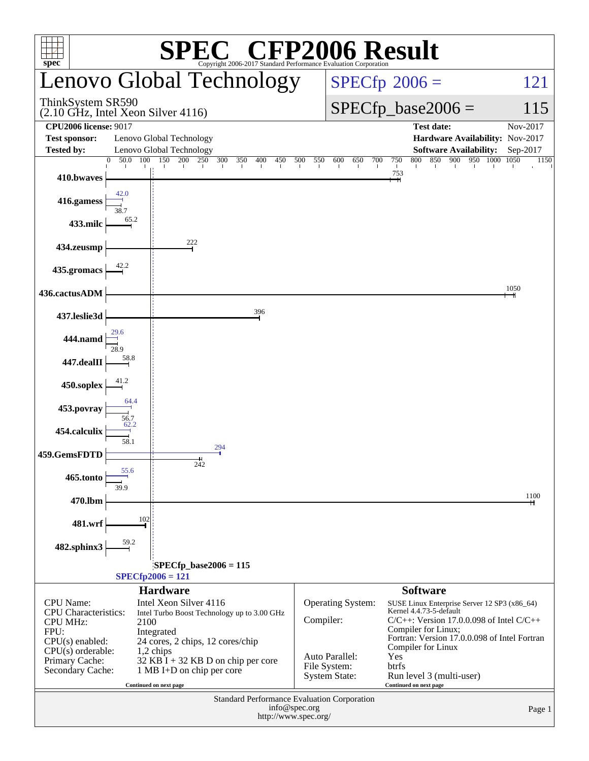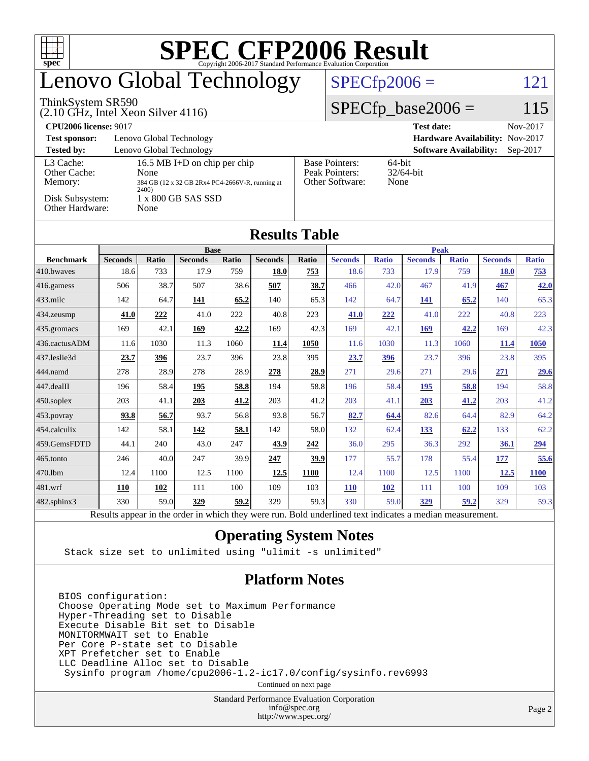| SPECCEP2006 Evaluation Corporation<br>IИ.<br>ŦП<br>$spec^*$                                                                  |                        |                                                                                           |                        |              |                        |                       |                        |                     |                        |                     |                               |                     |
|------------------------------------------------------------------------------------------------------------------------------|------------------------|-------------------------------------------------------------------------------------------|------------------------|--------------|------------------------|-----------------------|------------------------|---------------------|------------------------|---------------------|-------------------------------|---------------------|
| enovo Global Technology                                                                                                      |                        |                                                                                           |                        |              |                        | $SPECfp2006 =$<br>121 |                        |                     |                        |                     |                               |                     |
| ThinkSystem SR590<br>(2.10 GHz, Intel Xeon Silver 4116)                                                                      |                        |                                                                                           |                        |              |                        | $SPECfp\_base2006 =$  |                        |                     |                        | 115                 |                               |                     |
| <b>CPU2006 license: 9017</b>                                                                                                 |                        |                                                                                           |                        |              |                        |                       |                        | <b>Test date:</b>   |                        |                     | Nov-2017                      |                     |
| Lenovo Global Technology<br>Hardware Availability: Nov-2017<br><b>Test sponsor:</b>                                          |                        |                                                                                           |                        |              |                        |                       |                        |                     |                        |                     |                               |                     |
| <b>Tested by:</b><br>Lenovo Global Technology<br><b>Software Availability:</b><br>$Sep-2017$<br>16.5 MB I+D on chip per chip |                        |                                                                                           |                        |              |                        |                       |                        |                     |                        |                     |                               |                     |
| L3 Cache:<br>Other Cache:<br>Memory:<br>Disk Subsystem:                                                                      |                        | <b>Base Pointers:</b><br>64-bit<br>Peak Pointers:<br>32/64-bit<br>Other Software:<br>None |                        |              |                        |                       |                        |                     |                        |                     |                               |                     |
| Other Hardware:<br>None                                                                                                      |                        |                                                                                           |                        |              |                        |                       |                        |                     |                        |                     |                               |                     |
| <b>Results Table</b>                                                                                                         |                        |                                                                                           |                        |              |                        |                       |                        |                     |                        |                     |                               |                     |
|                                                                                                                              |                        |                                                                                           | <b>Base</b>            |              |                        |                       |                        |                     | <b>Peak</b>            |                     |                               |                     |
| <b>Benchmark</b><br>410.bwayes                                                                                               | <b>Seconds</b><br>18.6 | <b>Ratio</b><br>733                                                                       | <b>Seconds</b><br>17.9 | Ratio<br>759 | <b>Seconds</b><br>18.0 | Ratio<br>753          | <b>Seconds</b><br>18.6 | <b>Ratio</b><br>733 | <b>Seconds</b><br>17.9 | <b>Ratio</b><br>759 | <b>Seconds</b><br><b>18.0</b> | <b>Ratio</b><br>753 |
| 416.gamess                                                                                                                   | 506                    | 38.7                                                                                      | 507                    | 38.6         | 507                    | 38.7                  | 466                    | 42.0                | 467                    | 41.9                | 467                           | 42.0                |
| 433.milc                                                                                                                     | 142                    | 64.7                                                                                      | 141                    | 65.2         | 140                    | 65.3                  | 142                    | 64.7                | 141                    | 65.2                | 140                           | 65.3                |
| 434.zeusmp                                                                                                                   | 41.0                   | 222                                                                                       | 41.0                   | 222          | 40.8                   | 223                   | 41.0                   | <u>222</u>          | 41.0                   | 222                 | 40.8                          | 223                 |
| 435.gromacs                                                                                                                  | 169                    | 42.1                                                                                      | 169                    | 42.2         | 169                    | 42.3                  | 169                    | 42.1                | 169                    | 42.2                | 169                           | 42.3                |
| 436.cactusADM                                                                                                                | 11.6                   | 1030                                                                                      | 11.3                   | 1060         | 11.4                   | 1050                  | 11.6                   | 1030                | 11.3                   | 1060                | 11.4                          | 1050                |
| 437.leslie3d                                                                                                                 | 23.7                   | 396                                                                                       | 23.7                   | 396          | 23.8                   | 395                   | 23.7                   | 396                 | 23.7                   | 396                 | 23.8                          | 395                 |
| 444.namd                                                                                                                     | 278                    | 28.9                                                                                      | 278                    | 28.9         | 278                    | 28.9                  | 271                    | 29.6                | 271                    | 29.6                | 271                           | 29.6                |
| 447.dealII                                                                                                                   | 196                    | 58.4                                                                                      | 195                    | 58.8         | 194                    | 58.8                  | 196                    | 58.4                | <u> 195</u>            | 58.8                | 194                           | 58.8                |
| 450.soplex                                                                                                                   | 203                    | 41.1                                                                                      | 203                    | 41.2         | 203                    | 41.2                  | 203                    | 41.1                | <u>203</u>             | 41.2                | 203                           | 41.2                |
| 453.povray                                                                                                                   | 93.8                   | 56.7                                                                                      | 93.7                   | 56.8         | 93.8                   | 56.7                  | 82.7                   | 64.4                | 82.6                   | 64.4                | 82.9                          | 64.2                |
| 454.calculix                                                                                                                 | 142                    | 58.1                                                                                      | 142                    | 58.1         | 142                    | 58.0                  | 132                    | 62.4                | 133                    | 62.2                | 133                           | 62.2                |
| 459.GemsFDTD                                                                                                                 | 44.1                   | 240                                                                                       | 43.0                   | 247          | 43.9                   | 242                   | 36.0                   | 295                 | 36.3                   | 292                 | 36.1                          | 294                 |
| 465.tonto                                                                                                                    | 246                    | 40.0                                                                                      | 247                    | 39.9         | 247                    | 39.9                  | 177                    | 55.7                | 178                    | 55.4                | 177                           | 55.6                |
| 470.1bm                                                                                                                      | 12.4                   | 1100                                                                                      | 12.5                   | 1100         | 12.5                   | <b>1100</b>           | 12.4                   | 1100                | 12.5                   | 1100                | <b>12.5</b>                   | <b>1100</b>         |
| 481.wrf                                                                                                                      | <b>110</b>             | 102                                                                                       | 111                    | 100          | 109                    | 103                   | <b>110</b>             | <b>102</b>          | 111                    | 100                 | 109                           | 103                 |
| 482.sphinx3                                                                                                                  | 330                    | 59.0                                                                                      | 329                    | 59.2         | 329                    | 59.3                  | 330                    | 59.0                | 329                    | 59.2                | 329                           | 59.3                |

Results appear in the [order in which they were run.](http://www.spec.org/auto/cpu2006/Docs/result-fields.html#RunOrder) Bold underlined text [indicates a median measurement.](http://www.spec.org/auto/cpu2006/Docs/result-fields.html#Median)

#### **[Operating System Notes](http://www.spec.org/auto/cpu2006/Docs/result-fields.html#OperatingSystemNotes)**

Stack size set to unlimited using "ulimit -s unlimited"

### **[Platform Notes](http://www.spec.org/auto/cpu2006/Docs/result-fields.html#PlatformNotes)**

BIOS configuration: Choose Operating Mode set to Maximum Performance Hyper-Threading set to Disable Execute Disable Bit set to Disable MONITORMWAIT set to Enable Per Core P-state set to Disable XPT Prefetcher set to Enable LLC Deadline Alloc set to Disable Sysinfo program /home/cpu2006-1.2-ic17.0/config/sysinfo.rev6993

Continued on next page

Standard Performance Evaluation Corporation [info@spec.org](mailto:info@spec.org) <http://www.spec.org/>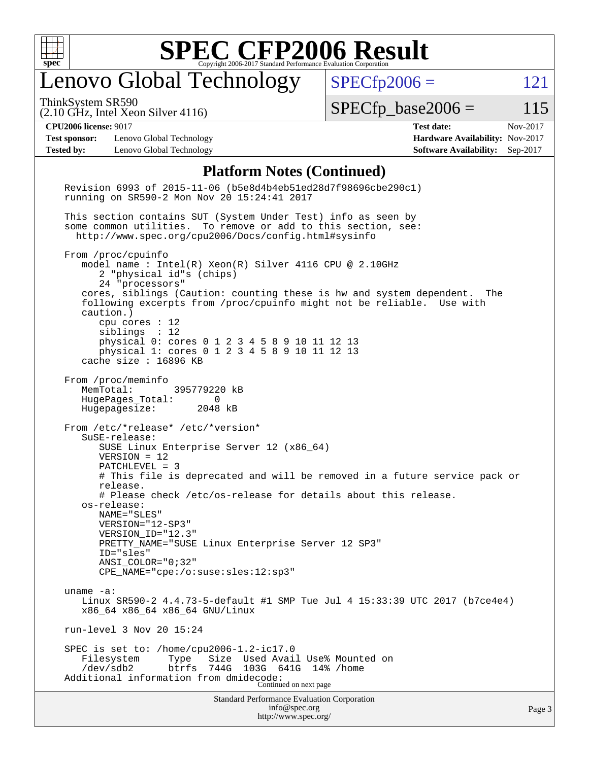

## enovo Global Technology

ThinkSystem SR590

 $SPECTp2006 = 121$ 

(2.10 GHz, Intel Xeon Silver 4116)

 $SPECTp\_base2006 = 115$ 

#### **[CPU2006 license:](http://www.spec.org/auto/cpu2006/Docs/result-fields.html#CPU2006license)** 9017 **[Test date:](http://www.spec.org/auto/cpu2006/Docs/result-fields.html#Testdate)** Nov-2017

**[Test sponsor:](http://www.spec.org/auto/cpu2006/Docs/result-fields.html#Testsponsor)** Lenovo Global Technology **[Hardware Availability:](http://www.spec.org/auto/cpu2006/Docs/result-fields.html#HardwareAvailability)** Nov-2017 **[Tested by:](http://www.spec.org/auto/cpu2006/Docs/result-fields.html#Testedby)** Lenovo Global Technology **[Software Availability:](http://www.spec.org/auto/cpu2006/Docs/result-fields.html#SoftwareAvailability)** Sep-2017

### **[Platform Notes \(Continued\)](http://www.spec.org/auto/cpu2006/Docs/result-fields.html#PlatformNotes)**

Standard Performance Evaluation Corporation [info@spec.org](mailto:info@spec.org) Revision 6993 of 2015-11-06 (b5e8d4b4eb51ed28d7f98696cbe290c1) running on SR590-2 Mon Nov 20 15:24:41 2017 This section contains SUT (System Under Test) info as seen by some common utilities. To remove or add to this section, see: <http://www.spec.org/cpu2006/Docs/config.html#sysinfo> From /proc/cpuinfo model name : Intel(R) Xeon(R) Silver 4116 CPU @ 2.10GHz 2 "physical id"s (chips) 24 "processors" cores, siblings (Caution: counting these is hw and system dependent. The following excerpts from /proc/cpuinfo might not be reliable. Use with caution.) cpu cores : 12 siblings : 12 physical 0: cores 0 1 2 3 4 5 8 9 10 11 12 13 physical 1: cores 0 1 2 3 4 5 8 9 10 11 12 13 cache size : 16896 KB From /proc/meminfo MemTotal: 395779220 kB HugePages\_Total: 0 Hugepagesize: 2048 kB From /etc/\*release\* /etc/\*version\* SuSE-release: SUSE Linux Enterprise Server 12 (x86\_64) VERSION = 12 PATCHLEVEL = 3 # This file is deprecated and will be removed in a future service pack or release. # Please check /etc/os-release for details about this release. os-release: NAME="SLES" VERSION="12-SP3" VERSION\_ID="12.3" PRETTY\_NAME="SUSE Linux Enterprise Server 12 SP3" ID="sles" ANSI\_COLOR="0;32" CPE\_NAME="cpe:/o:suse:sles:12:sp3" uname -a: Linux SR590-2 4.4.73-5-default #1 SMP Tue Jul 4 15:33:39 UTC 2017 (b7ce4e4) x86\_64 x86\_64 x86\_64 GNU/Linux run-level 3 Nov 20 15:24 SPEC is set to: /home/cpu2006-1.2-ic17.0<br>Filesystem Type Size Used Avai Size Used Avail Use% Mounted on /dev/sdb2 btrfs 744G 103G 641G 14% /home Additional information from dmidecode: Continued on next page

<http://www.spec.org/>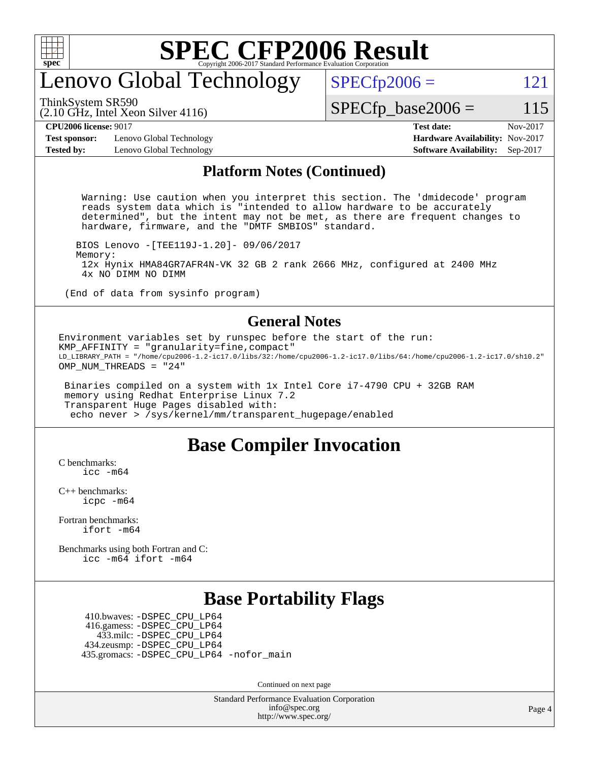

## enovo Global Technology

ThinkSystem SR590

 $SPECTp2006 = 121$ 

 $SPECTp\_base2006 = 115$ 

**[Test sponsor:](http://www.spec.org/auto/cpu2006/Docs/result-fields.html#Testsponsor)** Lenovo Global Technology **[Hardware Availability:](http://www.spec.org/auto/cpu2006/Docs/result-fields.html#HardwareAvailability)** Nov-2017 **[Tested by:](http://www.spec.org/auto/cpu2006/Docs/result-fields.html#Testedby)** Lenovo Global Technology **[Software Availability:](http://www.spec.org/auto/cpu2006/Docs/result-fields.html#SoftwareAvailability)** Sep-2017

(2.10 GHz, Intel Xeon Silver 4116)

**[CPU2006 license:](http://www.spec.org/auto/cpu2006/Docs/result-fields.html#CPU2006license)** 9017 **[Test date:](http://www.spec.org/auto/cpu2006/Docs/result-fields.html#Testdate)** Nov-2017

#### **[Platform Notes \(Continued\)](http://www.spec.org/auto/cpu2006/Docs/result-fields.html#PlatformNotes)**

 Warning: Use caution when you interpret this section. The 'dmidecode' program reads system data which is "intended to allow hardware to be accurately determined", but the intent may not be met, as there are frequent changes to hardware, firmware, and the "DMTF SMBIOS" standard.

 BIOS Lenovo -[TEE119J-1.20]- 09/06/2017 Memory: 12x Hynix HMA84GR7AFR4N-VK 32 GB 2 rank 2666 MHz, configured at 2400 MHz 4x NO DIMM NO DIMM

(End of data from sysinfo program)

#### **[General Notes](http://www.spec.org/auto/cpu2006/Docs/result-fields.html#GeneralNotes)**

Environment variables set by runspec before the start of the run: KMP AFFINITY = "granularity=fine, compact" LD\_LIBRARY\_PATH = "/home/cpu2006-1.2-ic17.0/libs/32:/home/cpu2006-1.2-ic17.0/libs/64:/home/cpu2006-1.2-ic17.0/sh10.2" OMP NUM THREADS = "24"

 Binaries compiled on a system with 1x Intel Core i7-4790 CPU + 32GB RAM memory using Redhat Enterprise Linux 7.2 Transparent Huge Pages disabled with: echo never > /sys/kernel/mm/transparent\_hugepage/enabled

### **[Base Compiler Invocation](http://www.spec.org/auto/cpu2006/Docs/result-fields.html#BaseCompilerInvocation)**

[C benchmarks](http://www.spec.org/auto/cpu2006/Docs/result-fields.html#Cbenchmarks): [icc -m64](http://www.spec.org/cpu2006/results/res2017q4/cpu2006-20171128-50924.flags.html#user_CCbase_intel_icc_64bit_bda6cc9af1fdbb0edc3795bac97ada53)

[C++ benchmarks:](http://www.spec.org/auto/cpu2006/Docs/result-fields.html#CXXbenchmarks) [icpc -m64](http://www.spec.org/cpu2006/results/res2017q4/cpu2006-20171128-50924.flags.html#user_CXXbase_intel_icpc_64bit_fc66a5337ce925472a5c54ad6a0de310)

[Fortran benchmarks](http://www.spec.org/auto/cpu2006/Docs/result-fields.html#Fortranbenchmarks): [ifort -m64](http://www.spec.org/cpu2006/results/res2017q4/cpu2006-20171128-50924.flags.html#user_FCbase_intel_ifort_64bit_ee9d0fb25645d0210d97eb0527dcc06e)

[Benchmarks using both Fortran and C](http://www.spec.org/auto/cpu2006/Docs/result-fields.html#BenchmarksusingbothFortranandC): [icc -m64](http://www.spec.org/cpu2006/results/res2017q4/cpu2006-20171128-50924.flags.html#user_CC_FCbase_intel_icc_64bit_bda6cc9af1fdbb0edc3795bac97ada53) [ifort -m64](http://www.spec.org/cpu2006/results/res2017q4/cpu2006-20171128-50924.flags.html#user_CC_FCbase_intel_ifort_64bit_ee9d0fb25645d0210d97eb0527dcc06e)

### **[Base Portability Flags](http://www.spec.org/auto/cpu2006/Docs/result-fields.html#BasePortabilityFlags)**

 410.bwaves: [-DSPEC\\_CPU\\_LP64](http://www.spec.org/cpu2006/results/res2017q4/cpu2006-20171128-50924.flags.html#suite_basePORTABILITY410_bwaves_DSPEC_CPU_LP64) 416.gamess: [-DSPEC\\_CPU\\_LP64](http://www.spec.org/cpu2006/results/res2017q4/cpu2006-20171128-50924.flags.html#suite_basePORTABILITY416_gamess_DSPEC_CPU_LP64) 433.milc: [-DSPEC\\_CPU\\_LP64](http://www.spec.org/cpu2006/results/res2017q4/cpu2006-20171128-50924.flags.html#suite_basePORTABILITY433_milc_DSPEC_CPU_LP64) 434.zeusmp: [-DSPEC\\_CPU\\_LP64](http://www.spec.org/cpu2006/results/res2017q4/cpu2006-20171128-50924.flags.html#suite_basePORTABILITY434_zeusmp_DSPEC_CPU_LP64) 435.gromacs: [-DSPEC\\_CPU\\_LP64](http://www.spec.org/cpu2006/results/res2017q4/cpu2006-20171128-50924.flags.html#suite_basePORTABILITY435_gromacs_DSPEC_CPU_LP64) [-nofor\\_main](http://www.spec.org/cpu2006/results/res2017q4/cpu2006-20171128-50924.flags.html#user_baseLDPORTABILITY435_gromacs_f-nofor_main)

Continued on next page

Standard Performance Evaluation Corporation [info@spec.org](mailto:info@spec.org) <http://www.spec.org/>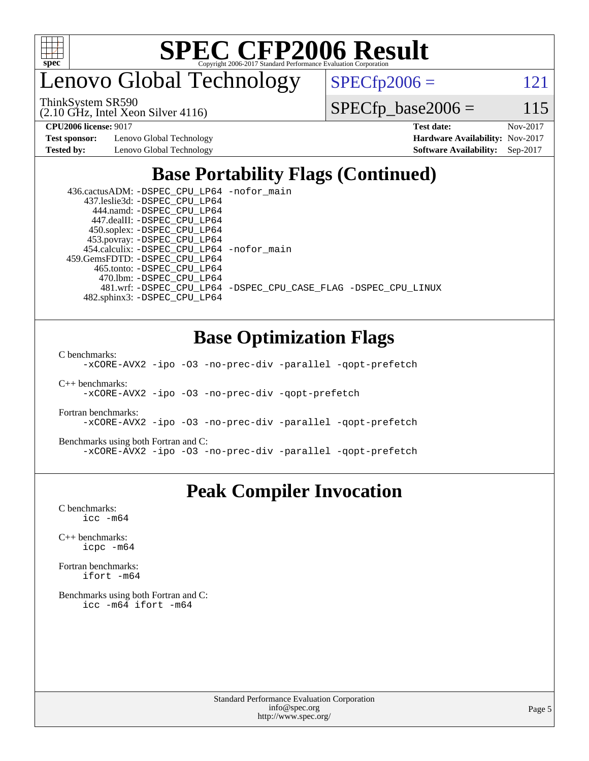

enovo Global Technology

ThinkSystem SR590

 $SPECTp2006 = 121$ 

(2.10 GHz, Intel Xeon Silver 4116)

 $SPECfp\_base2006 = 115$ 

**[Test sponsor:](http://www.spec.org/auto/cpu2006/Docs/result-fields.html#Testsponsor)** Lenovo Global Technology **[Hardware Availability:](http://www.spec.org/auto/cpu2006/Docs/result-fields.html#HardwareAvailability)** Nov-2017

**[CPU2006 license:](http://www.spec.org/auto/cpu2006/Docs/result-fields.html#CPU2006license)** 9017 **[Test date:](http://www.spec.org/auto/cpu2006/Docs/result-fields.html#Testdate)** Nov-2017 **[Tested by:](http://www.spec.org/auto/cpu2006/Docs/result-fields.html#Testedby)** Lenovo Global Technology **[Software Availability:](http://www.spec.org/auto/cpu2006/Docs/result-fields.html#SoftwareAvailability)** Sep-2017

## **[Base Portability Flags \(Continued\)](http://www.spec.org/auto/cpu2006/Docs/result-fields.html#BasePortabilityFlags)**

| 436.cactusADM: -DSPEC_CPU_LP64 -nofor main  |                                                                |
|---------------------------------------------|----------------------------------------------------------------|
| 437.leslie3d: -DSPEC_CPU_LP64               |                                                                |
| 444.namd: - DSPEC CPU LP64                  |                                                                |
| 447.dealII: -DSPEC CPU LP64                 |                                                                |
| 450.soplex: -DSPEC_CPU_LP64                 |                                                                |
| 453.povray: -DSPEC_CPU_LP64                 |                                                                |
| 454.calculix: - DSPEC CPU LP64 - nofor main |                                                                |
| 459.GemsFDTD: - DSPEC_CPU_LP64              |                                                                |
| 465.tonto: -DSPEC CPU LP64                  |                                                                |
| 470.1bm: - DSPEC CPU LP64                   |                                                                |
|                                             | 481.wrf: -DSPEC CPU_LP64 -DSPEC_CPU_CASE_FLAG -DSPEC_CPU_LINUX |
| 482.sphinx3: -DSPEC CPU LP64                |                                                                |

### **[Base Optimization Flags](http://www.spec.org/auto/cpu2006/Docs/result-fields.html#BaseOptimizationFlags)**

[C benchmarks](http://www.spec.org/auto/cpu2006/Docs/result-fields.html#Cbenchmarks):

[-xCORE-AVX2](http://www.spec.org/cpu2006/results/res2017q4/cpu2006-20171128-50924.flags.html#user_CCbase_f-xCORE-AVX2) [-ipo](http://www.spec.org/cpu2006/results/res2017q4/cpu2006-20171128-50924.flags.html#user_CCbase_f-ipo) [-O3](http://www.spec.org/cpu2006/results/res2017q4/cpu2006-20171128-50924.flags.html#user_CCbase_f-O3) [-no-prec-div](http://www.spec.org/cpu2006/results/res2017q4/cpu2006-20171128-50924.flags.html#user_CCbase_f-no-prec-div) [-parallel](http://www.spec.org/cpu2006/results/res2017q4/cpu2006-20171128-50924.flags.html#user_CCbase_f-parallel) [-qopt-prefetch](http://www.spec.org/cpu2006/results/res2017q4/cpu2006-20171128-50924.flags.html#user_CCbase_f-qopt-prefetch)

[C++ benchmarks:](http://www.spec.org/auto/cpu2006/Docs/result-fields.html#CXXbenchmarks) [-xCORE-AVX2](http://www.spec.org/cpu2006/results/res2017q4/cpu2006-20171128-50924.flags.html#user_CXXbase_f-xCORE-AVX2) [-ipo](http://www.spec.org/cpu2006/results/res2017q4/cpu2006-20171128-50924.flags.html#user_CXXbase_f-ipo) [-O3](http://www.spec.org/cpu2006/results/res2017q4/cpu2006-20171128-50924.flags.html#user_CXXbase_f-O3) [-no-prec-div](http://www.spec.org/cpu2006/results/res2017q4/cpu2006-20171128-50924.flags.html#user_CXXbase_f-no-prec-div) [-qopt-prefetch](http://www.spec.org/cpu2006/results/res2017q4/cpu2006-20171128-50924.flags.html#user_CXXbase_f-qopt-prefetch)

[Fortran benchmarks](http://www.spec.org/auto/cpu2006/Docs/result-fields.html#Fortranbenchmarks): [-xCORE-AVX2](http://www.spec.org/cpu2006/results/res2017q4/cpu2006-20171128-50924.flags.html#user_FCbase_f-xCORE-AVX2) [-ipo](http://www.spec.org/cpu2006/results/res2017q4/cpu2006-20171128-50924.flags.html#user_FCbase_f-ipo) [-O3](http://www.spec.org/cpu2006/results/res2017q4/cpu2006-20171128-50924.flags.html#user_FCbase_f-O3) [-no-prec-div](http://www.spec.org/cpu2006/results/res2017q4/cpu2006-20171128-50924.flags.html#user_FCbase_f-no-prec-div) [-parallel](http://www.spec.org/cpu2006/results/res2017q4/cpu2006-20171128-50924.flags.html#user_FCbase_f-parallel) [-qopt-prefetch](http://www.spec.org/cpu2006/results/res2017q4/cpu2006-20171128-50924.flags.html#user_FCbase_f-qopt-prefetch)

[Benchmarks using both Fortran and C](http://www.spec.org/auto/cpu2006/Docs/result-fields.html#BenchmarksusingbothFortranandC): [-xCORE-AVX2](http://www.spec.org/cpu2006/results/res2017q4/cpu2006-20171128-50924.flags.html#user_CC_FCbase_f-xCORE-AVX2) [-ipo](http://www.spec.org/cpu2006/results/res2017q4/cpu2006-20171128-50924.flags.html#user_CC_FCbase_f-ipo) [-O3](http://www.spec.org/cpu2006/results/res2017q4/cpu2006-20171128-50924.flags.html#user_CC_FCbase_f-O3) [-no-prec-div](http://www.spec.org/cpu2006/results/res2017q4/cpu2006-20171128-50924.flags.html#user_CC_FCbase_f-no-prec-div) [-parallel](http://www.spec.org/cpu2006/results/res2017q4/cpu2006-20171128-50924.flags.html#user_CC_FCbase_f-parallel) [-qopt-prefetch](http://www.spec.org/cpu2006/results/res2017q4/cpu2006-20171128-50924.flags.html#user_CC_FCbase_f-qopt-prefetch)

### **[Peak Compiler Invocation](http://www.spec.org/auto/cpu2006/Docs/result-fields.html#PeakCompilerInvocation)**

[C benchmarks](http://www.spec.org/auto/cpu2006/Docs/result-fields.html#Cbenchmarks): [icc -m64](http://www.spec.org/cpu2006/results/res2017q4/cpu2006-20171128-50924.flags.html#user_CCpeak_intel_icc_64bit_bda6cc9af1fdbb0edc3795bac97ada53)

[C++ benchmarks:](http://www.spec.org/auto/cpu2006/Docs/result-fields.html#CXXbenchmarks) [icpc -m64](http://www.spec.org/cpu2006/results/res2017q4/cpu2006-20171128-50924.flags.html#user_CXXpeak_intel_icpc_64bit_fc66a5337ce925472a5c54ad6a0de310)

[Fortran benchmarks](http://www.spec.org/auto/cpu2006/Docs/result-fields.html#Fortranbenchmarks): [ifort -m64](http://www.spec.org/cpu2006/results/res2017q4/cpu2006-20171128-50924.flags.html#user_FCpeak_intel_ifort_64bit_ee9d0fb25645d0210d97eb0527dcc06e)

[Benchmarks using both Fortran and C](http://www.spec.org/auto/cpu2006/Docs/result-fields.html#BenchmarksusingbothFortranandC): [icc -m64](http://www.spec.org/cpu2006/results/res2017q4/cpu2006-20171128-50924.flags.html#user_CC_FCpeak_intel_icc_64bit_bda6cc9af1fdbb0edc3795bac97ada53) [ifort -m64](http://www.spec.org/cpu2006/results/res2017q4/cpu2006-20171128-50924.flags.html#user_CC_FCpeak_intel_ifort_64bit_ee9d0fb25645d0210d97eb0527dcc06e)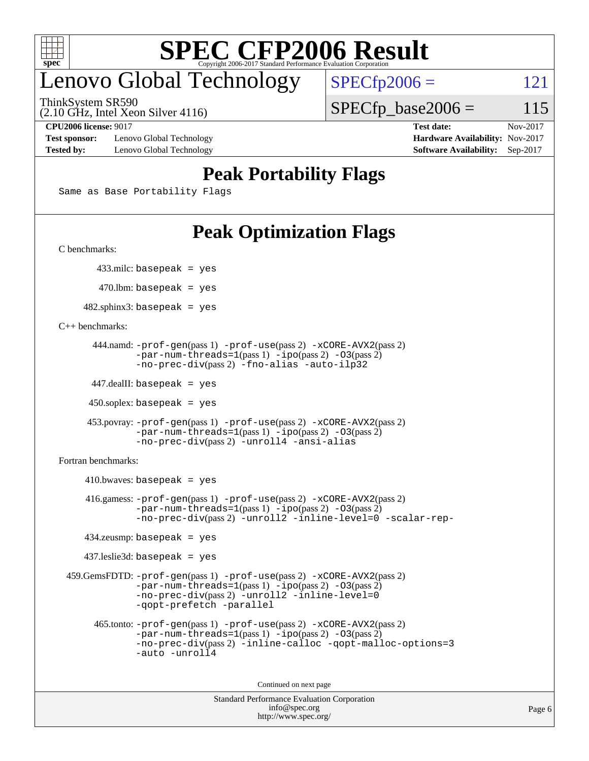

## enovo Global Technology

ThinkSystem SR590

(2.10 GHz, Intel Xeon Silver 4116)

**[CPU2006 license:](http://www.spec.org/auto/cpu2006/Docs/result-fields.html#CPU2006license)** 9017 **[Test date:](http://www.spec.org/auto/cpu2006/Docs/result-fields.html#Testdate)** Nov-2017

**[Test sponsor:](http://www.spec.org/auto/cpu2006/Docs/result-fields.html#Testsponsor)** Lenovo Global Technology **[Hardware Availability:](http://www.spec.org/auto/cpu2006/Docs/result-fields.html#HardwareAvailability)** Nov-2017 **[Tested by:](http://www.spec.org/auto/cpu2006/Docs/result-fields.html#Testedby)** Lenovo Global Technology **[Software Availability:](http://www.spec.org/auto/cpu2006/Docs/result-fields.html#SoftwareAvailability)** Sep-2017

 $SPECfp2006 = 121$  $SPECfp2006 = 121$ 

 $SPECTp\_base2006 = 115$ 

## **[Peak Portability Flags](http://www.spec.org/auto/cpu2006/Docs/result-fields.html#PeakPortabilityFlags)**

```
Same as Base Portability Flags
```
## **[Peak Optimization Flags](http://www.spec.org/auto/cpu2006/Docs/result-fields.html#PeakOptimizationFlags)**

[C benchmarks](http://www.spec.org/auto/cpu2006/Docs/result-fields.html#Cbenchmarks):

433.milc: basepeak = yes

 $470$ .lbm: basepeak = yes

 $482$ .sphinx3: basepeak = yes

[C++ benchmarks:](http://www.spec.org/auto/cpu2006/Docs/result-fields.html#CXXbenchmarks)

```
 444.namd: -prof-gen(pass 1) -prof-use(pass 2) -xCORE-AVX2(pass 2)
-par-num-threads=1(pass 1) -ipo(pass 2) -O3(pass 2)
-no-prec-div(pass 2) -fno-alias -auto-ilp32
```
447.dealII: basepeak = yes

 $450$ .soplex: basepeak = yes

```
 453.povray: -prof-gen(pass 1) -prof-use(pass 2) -xCORE-AVX2(pass 2)
 -par-num-threads=1-ipo-O3(pass 2)-no-prec-div(pass 2) -unroll4 -ansi-alias
```
[Fortran benchmarks](http://www.spec.org/auto/cpu2006/Docs/result-fields.html#Fortranbenchmarks):

 $410.bwaves: basepeak = yes$  416.gamess: [-prof-gen](http://www.spec.org/cpu2006/results/res2017q4/cpu2006-20171128-50924.flags.html#user_peakPASS1_FFLAGSPASS1_LDFLAGS416_gamess_prof_gen_e43856698f6ca7b7e442dfd80e94a8fc)(pass 1) [-prof-use](http://www.spec.org/cpu2006/results/res2017q4/cpu2006-20171128-50924.flags.html#user_peakPASS2_FFLAGSPASS2_LDFLAGS416_gamess_prof_use_bccf7792157ff70d64e32fe3e1250b55)(pass 2) [-xCORE-AVX2](http://www.spec.org/cpu2006/results/res2017q4/cpu2006-20171128-50924.flags.html#user_peakPASS2_FFLAGSPASS2_LDFLAGS416_gamess_f-xCORE-AVX2)(pass 2)  $-par-num-threads=1(pass 1) -ipo(pass 2) -O3(pass 2)$  $-par-num-threads=1(pass 1) -ipo(pass 2) -O3(pass 2)$  $-par-num-threads=1(pass 1) -ipo(pass 2) -O3(pass 2)$  $-par-num-threads=1(pass 1) -ipo(pass 2) -O3(pass 2)$  $-par-num-threads=1(pass 1) -ipo(pass 2) -O3(pass 2)$  $-par-num-threads=1(pass 1) -ipo(pass 2) -O3(pass 2)$ [-no-prec-div](http://www.spec.org/cpu2006/results/res2017q4/cpu2006-20171128-50924.flags.html#user_peakPASS2_FFLAGSPASS2_LDFLAGS416_gamess_f-no-prec-div)(pass 2) [-unroll2](http://www.spec.org/cpu2006/results/res2017q4/cpu2006-20171128-50924.flags.html#user_peakOPTIMIZE416_gamess_f-unroll_784dae83bebfb236979b41d2422d7ec2) [-inline-level=0](http://www.spec.org/cpu2006/results/res2017q4/cpu2006-20171128-50924.flags.html#user_peakOPTIMIZE416_gamess_f-inline-level_318d07a09274ad25e8d15dbfaa68ba50) [-scalar-rep-](http://www.spec.org/cpu2006/results/res2017q4/cpu2006-20171128-50924.flags.html#user_peakOPTIMIZE416_gamess_f-disablescalarrep_abbcad04450fb118e4809c81d83c8a1d) 434.zeusmp: basepeak = yes 437.leslie3d: basepeak = yes 459.GemsFDTD: [-prof-gen](http://www.spec.org/cpu2006/results/res2017q4/cpu2006-20171128-50924.flags.html#user_peakPASS1_FFLAGSPASS1_LDFLAGS459_GemsFDTD_prof_gen_e43856698f6ca7b7e442dfd80e94a8fc)(pass 1) [-prof-use](http://www.spec.org/cpu2006/results/res2017q4/cpu2006-20171128-50924.flags.html#user_peakPASS2_FFLAGSPASS2_LDFLAGS459_GemsFDTD_prof_use_bccf7792157ff70d64e32fe3e1250b55)(pass 2) [-xCORE-AVX2](http://www.spec.org/cpu2006/results/res2017q4/cpu2006-20171128-50924.flags.html#user_peakPASS2_FFLAGSPASS2_LDFLAGS459_GemsFDTD_f-xCORE-AVX2)(pass 2)  $-par-num-threads=1(pass 1) -ipo(pass 2) -O3(pass 2)$  $-par-num-threads=1(pass 1) -ipo(pass 2) -O3(pass 2)$  $-par-num-threads=1(pass 1) -ipo(pass 2) -O3(pass 2)$  $-par-num-threads=1(pass 1) -ipo(pass 2) -O3(pass 2)$  $-par-num-threads=1(pass 1) -ipo(pass 2) -O3(pass 2)$  $-par-num-threads=1(pass 1) -ipo(pass 2) -O3(pass 2)$ [-no-prec-div](http://www.spec.org/cpu2006/results/res2017q4/cpu2006-20171128-50924.flags.html#user_peakPASS2_FFLAGSPASS2_LDFLAGS459_GemsFDTD_f-no-prec-div)(pass 2) [-unroll2](http://www.spec.org/cpu2006/results/res2017q4/cpu2006-20171128-50924.flags.html#user_peakOPTIMIZE459_GemsFDTD_f-unroll_784dae83bebfb236979b41d2422d7ec2) [-inline-level=0](http://www.spec.org/cpu2006/results/res2017q4/cpu2006-20171128-50924.flags.html#user_peakOPTIMIZE459_GemsFDTD_f-inline-level_318d07a09274ad25e8d15dbfaa68ba50) [-qopt-prefetch](http://www.spec.org/cpu2006/results/res2017q4/cpu2006-20171128-50924.flags.html#user_peakOPTIMIZE459_GemsFDTD_f-qopt-prefetch) [-parallel](http://www.spec.org/cpu2006/results/res2017q4/cpu2006-20171128-50924.flags.html#user_peakOPTIMIZE459_GemsFDTD_f-parallel) 465.tonto: [-prof-gen](http://www.spec.org/cpu2006/results/res2017q4/cpu2006-20171128-50924.flags.html#user_peakPASS1_FFLAGSPASS1_LDFLAGS465_tonto_prof_gen_e43856698f6ca7b7e442dfd80e94a8fc)(pass 1) [-prof-use](http://www.spec.org/cpu2006/results/res2017q4/cpu2006-20171128-50924.flags.html#user_peakPASS2_FFLAGSPASS2_LDFLAGS465_tonto_prof_use_bccf7792157ff70d64e32fe3e1250b55)(pass 2) [-xCORE-AVX2](http://www.spec.org/cpu2006/results/res2017q4/cpu2006-20171128-50924.flags.html#user_peakPASS2_FFLAGSPASS2_LDFLAGS465_tonto_f-xCORE-AVX2)(pass 2) [-par-num-threads=1](http://www.spec.org/cpu2006/results/res2017q4/cpu2006-20171128-50924.flags.html#user_peakPASS1_FFLAGSPASS1_LDFLAGS465_tonto_par_num_threads_786a6ff141b4e9e90432e998842df6c2)(pass 1) [-ipo](http://www.spec.org/cpu2006/results/res2017q4/cpu2006-20171128-50924.flags.html#user_peakPASS2_FFLAGSPASS2_LDFLAGS465_tonto_f-ipo)(pass 2) [-O3](http://www.spec.org/cpu2006/results/res2017q4/cpu2006-20171128-50924.flags.html#user_peakPASS2_FFLAGSPASS2_LDFLAGS465_tonto_f-O3)(pass 2) [-no-prec-div](http://www.spec.org/cpu2006/results/res2017q4/cpu2006-20171128-50924.flags.html#user_peakPASS2_FFLAGSPASS2_LDFLAGS465_tonto_f-no-prec-div)(pass 2) [-inline-calloc](http://www.spec.org/cpu2006/results/res2017q4/cpu2006-20171128-50924.flags.html#user_peakOPTIMIZE465_tonto_f-inline-calloc) [-qopt-malloc-options=3](http://www.spec.org/cpu2006/results/res2017q4/cpu2006-20171128-50924.flags.html#user_peakOPTIMIZE465_tonto_f-qopt-malloc-options_0fcb435012e78f27d57f473818e45fe4) [-auto](http://www.spec.org/cpu2006/results/res2017q4/cpu2006-20171128-50924.flags.html#user_peakOPTIMIZE465_tonto_f-auto) [-unroll4](http://www.spec.org/cpu2006/results/res2017q4/cpu2006-20171128-50924.flags.html#user_peakOPTIMIZE465_tonto_f-unroll_4e5e4ed65b7fd20bdcd365bec371b81f)

Continued on next page

```
Standard Performance Evaluation Corporation
     info@spec.org
   http://www.spec.org/
```